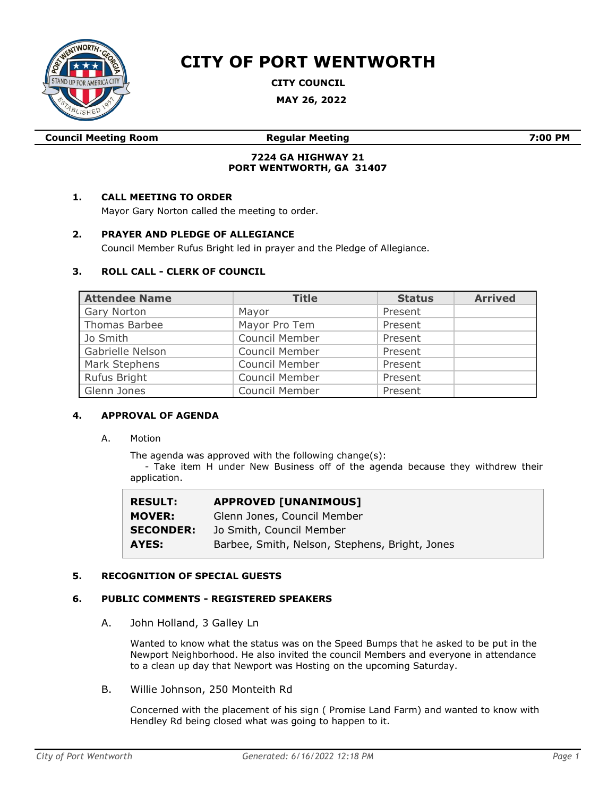

# **CITY OF PORT WENTWORTH**

**CITY COUNCIL**

**MAY 26, 2022**

|  | <b>Council Meeting Room</b> |  |
|--|-----------------------------|--|
|--|-----------------------------|--|

**Council Meeting Room Regular Meeting 7:00 PM**

# **7224 GA HIGHWAY 21 PORT WENTWORTH, GA 31407**

# **1. CALL MEETING TO ORDER**

Mayor Gary Norton called the meeting to order.

# **2. PRAYER AND PLEDGE OF ALLEGIANCE**

Council Member Rufus Bright led in prayer and the Pledge of Allegiance.

# **3. ROLL CALL - CLERK OF COUNCIL**

| <b>Attendee Name</b> | <b>Title</b>   | <b>Status</b> | <b>Arrived</b> |
|----------------------|----------------|---------------|----------------|
| Gary Norton          | Mayor          | Present       |                |
| Thomas Barbee        | Mayor Pro Tem  | Present       |                |
| Jo Smith             | Council Member | Present       |                |
| Gabrielle Nelson     | Council Member | Present       |                |
| Mark Stephens        | Council Member | Present       |                |
| Rufus Bright         | Council Member | Present       |                |
| Glenn Jones          | Council Member | Present       |                |

# **4. APPROVAL OF AGENDA**

A. Motion

The agenda was approved with the following change(s):

- Take item H under New Business off of the agenda because they withdrew their application.

| <b>RESULT:</b>   | <b>APPROVED [UNANIMOUS]</b>                    |
|------------------|------------------------------------------------|
| <b>MOVER:</b>    | Glenn Jones, Council Member                    |
| <b>SECONDER:</b> | Jo Smith, Council Member                       |
| AYES:            | Barbee, Smith, Nelson, Stephens, Bright, Jones |

# **5. RECOGNITION OF SPECIAL GUESTS**

# **6. PUBLIC COMMENTS - REGISTERED SPEAKERS**

A. John Holland, 3 Galley Ln

Wanted to know what the status was on the Speed Bumps that he asked to be put in the Newport Neighborhood. He also invited the council Members and everyone in attendance to a clean up day that Newport was Hosting on the upcoming Saturday.

B. Willie Johnson, 250 Monteith Rd

Concerned with the placement of his sign ( Promise Land Farm) and wanted to know with Hendley Rd being closed what was going to happen to it.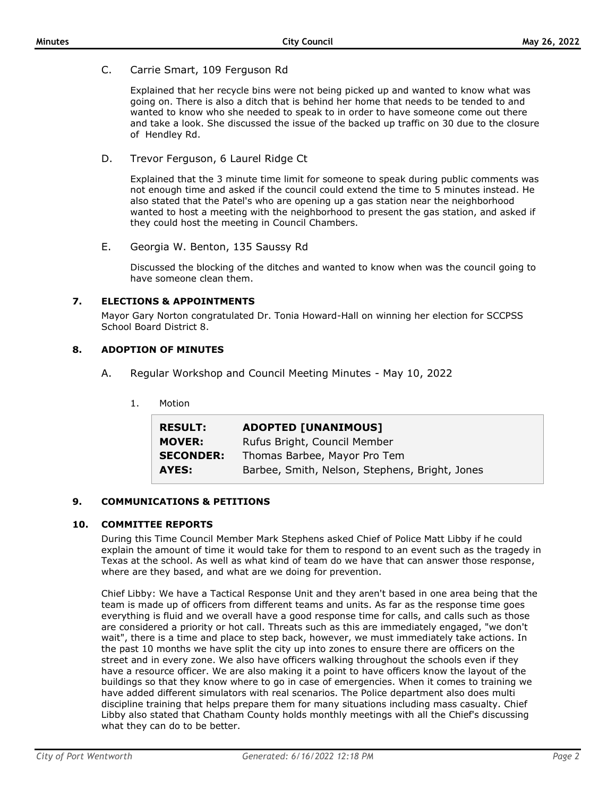C. Carrie Smart, 109 Ferguson Rd

Explained that her recycle bins were not being picked up and wanted to know what was going on. There is also a ditch that is behind her home that needs to be tended to and wanted to know who she needed to speak to in order to have someone come out there and take a look. She discussed the issue of the backed up traffic on 30 due to the closure of Hendley Rd.

D. Trevor Ferguson, 6 Laurel Ridge Ct

Explained that the 3 minute time limit for someone to speak during public comments was not enough time and asked if the council could extend the time to 5 minutes instead. He also stated that the Patel's who are opening up a gas station near the neighborhood wanted to host a meeting with the neighborhood to present the gas station, and asked if they could host the meeting in Council Chambers.

E. Georgia W. Benton, 135 Saussy Rd

Discussed the blocking of the ditches and wanted to know when was the council going to have someone clean them.

# **7. ELECTIONS & APPOINTMENTS**

Mayor Gary Norton congratulated Dr. Tonia Howard-Hall on winning her election for SCCPSS School Board District 8.

# **8. ADOPTION OF MINUTES**

- A. Regular Workshop and Council Meeting Minutes May 10, 2022
	- 1. Motion

| <b>RESULT:</b>   | <b>ADOPTED [UNANIMOUS]</b>                     |
|------------------|------------------------------------------------|
| <b>MOVER:</b>    | Rufus Bright, Council Member                   |
| <b>SECONDER:</b> | Thomas Barbee, Mayor Pro Tem                   |
| AYES:            | Barbee, Smith, Nelson, Stephens, Bright, Jones |

# **9. COMMUNICATIONS & PETITIONS**

# **10. COMMITTEE REPORTS**

During this Time Council Member Mark Stephens asked Chief of Police Matt Libby if he could explain the amount of time it would take for them to respond to an event such as the tragedy in Texas at the school. As well as what kind of team do we have that can answer those response, where are they based, and what are we doing for prevention.

Chief Libby: We have a Tactical Response Unit and they aren't based in one area being that the team is made up of officers from different teams and units. As far as the response time goes everything is fluid and we overall have a good response time for calls, and calls such as those are considered a priority or hot call. Threats such as this are immediately engaged, "we don't wait", there is a time and place to step back, however, we must immediately take actions. In the past 10 months we have split the city up into zones to ensure there are officers on the street and in every zone. We also have officers walking throughout the schools even if they have a resource officer. We are also making it a point to have officers know the layout of the buildings so that they know where to go in case of emergencies. When it comes to training we have added different simulators with real scenarios. The Police department also does multi discipline training that helps prepare them for many situations including mass casualty. Chief Libby also stated that Chatham County holds monthly meetings with all the Chief's discussing what they can do to be better.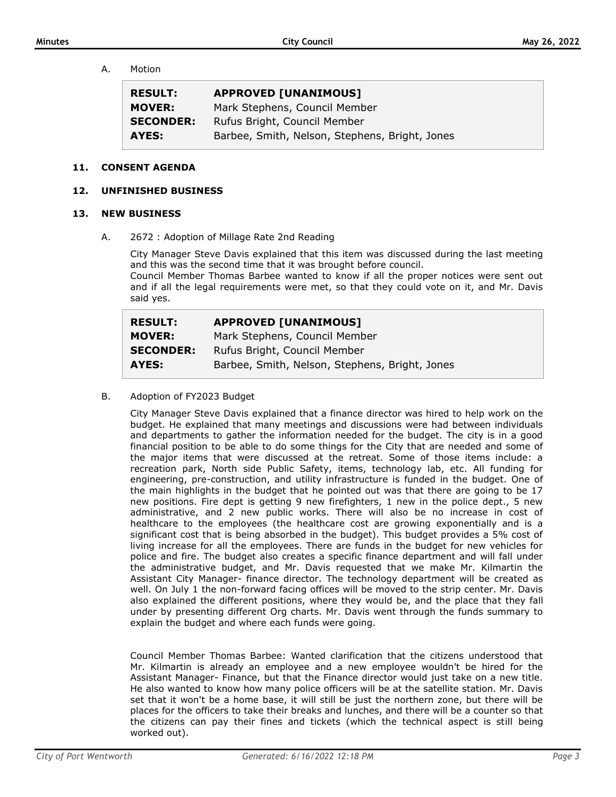A. Motion

| <b>RESULT:</b>   | <b>APPROVED [UNANIMOUS]</b>                    |
|------------------|------------------------------------------------|
| <b>MOVER:</b>    | Mark Stephens, Council Member                  |
| <b>SECONDER:</b> | Rufus Bright, Council Member                   |
| AYES:            | Barbee, Smith, Nelson, Stephens, Bright, Jones |

#### **11. CONSENT AGENDA**

#### **12. UNFINISHED BUSINESS**

#### **13. NEW BUSINESS**

A. 2672 : Adoption of Millage Rate 2nd Reading

City Manager Steve Davis explained that this item was discussed during the last meeting and this was the second time that it was brought before council.

Council Member Thomas Barbee wanted to know if all the proper notices were sent out and if all the legal requirements were met, so that they could vote on it, and Mr. Davis said yes.

| <b>RESULT:</b>   | <b>APPROVED [UNANIMOUS]</b>                    |
|------------------|------------------------------------------------|
| <b>MOVER:</b>    | Mark Stephens, Council Member                  |
| <b>SECONDER:</b> | Rufus Bright, Council Member                   |
| AYES:            | Barbee, Smith, Nelson, Stephens, Bright, Jones |

#### B. Adoption of FY2023 Budget

City Manager Steve Davis explained that a finance director was hired to help work on the budget. He explained that many meetings and discussions were had between individuals and departments to gather the information needed for the budget. The city is in a good financial position to be able to do some things for the City that are needed and some of the major items that were discussed at the retreat. Some of those items include: a recreation park, North side Public Safety, items, technology lab, etc. All funding for engineering, pre-construction, and utility infrastructure is funded in the budget. One of the main highlights in the budget that he pointed out was that there are going to be 17 new positions. Fire dept is getting 9 new firefighters, 1 new in the police dept., 5 new administrative, and 2 new public works. There will also be no increase in cost of healthcare to the employees (the healthcare cost are growing exponentially and is a significant cost that is being absorbed in the budget). This budget provides a 5% cost of living increase for all the employees. There are funds in the budget for new vehicles for police and fire. The budget also creates a specific finance department and will fall under the administrative budget, and Mr. Davis requested that we make Mr. Kilmartin the Assistant City Manager- finance director. The technology department will be created as well. On July 1 the non-forward facing offices will be moved to the strip center. Mr. Davis also explained the different positions, where they would be, and the place that they fall under by presenting different Org charts. Mr. Davis went through the funds summary to explain the budget and where each funds were going.

Council Member Thomas Barbee: Wanted clarification that the citizens understood that Mr. Kilmartin is already an employee and a new employee wouldn't be hired for the Assistant Manager- Finance, but that the Finance director would just take on a new title. He also wanted to know how many police officers will be at the satellite station. Mr. Davis set that it won't be a home base, it will still be just the northern zone, but there will be places for the officers to take their breaks and lunches, and there will be a counter so that the citizens can pay their fines and tickets (which the technical aspect is still being worked out).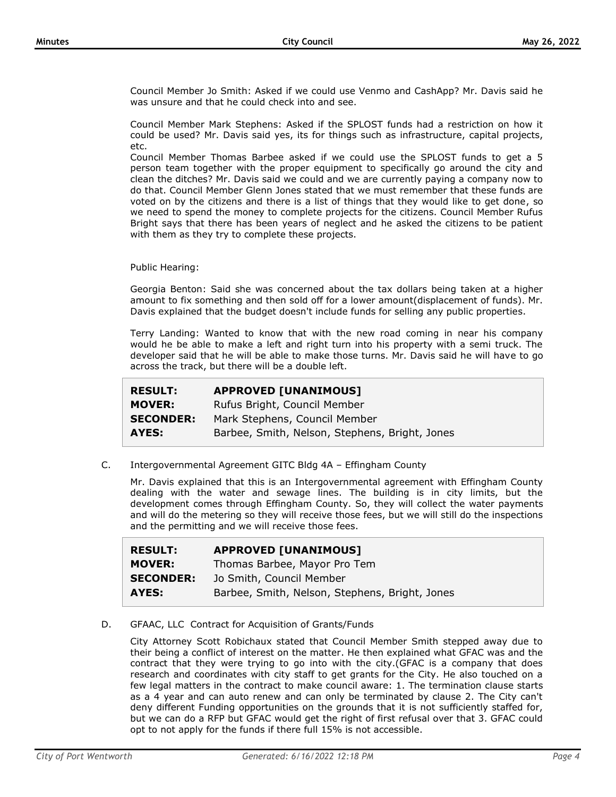Council Member Jo Smith: Asked if we could use Venmo and CashApp? Mr. Davis said he was unsure and that he could check into and see.

Council Member Mark Stephens: Asked if the SPLOST funds had a restriction on how it could be used? Mr. Davis said yes, its for things such as infrastructure, capital projects, etc.

Council Member Thomas Barbee asked if we could use the SPLOST funds to get a 5 person team together with the proper equipment to specifically go around the city and clean the ditches? Mr. Davis said we could and we are currently paying a company now to do that. Council Member Glenn Jones stated that we must remember that these funds are voted on by the citizens and there is a list of things that they would like to get done, so we need to spend the money to complete projects for the citizens. Council Member Rufus Bright says that there has been years of neglect and he asked the citizens to be patient with them as they try to complete these projects.

Public Hearing:

Georgia Benton: Said she was concerned about the tax dollars being taken at a higher amount to fix something and then sold off for a lower amount(displacement of funds). Mr. Davis explained that the budget doesn't include funds for selling any public properties.

Terry Landing: Wanted to know that with the new road coming in near his company would he be able to make a left and right turn into his property with a semi truck. The developer said that he will be able to make those turns. Mr. Davis said he will have to go across the track, but there will be a double left.

| <b>RESULT:</b>   | <b>APPROVED [UNANIMOUS]</b>                    |
|------------------|------------------------------------------------|
| <b>MOVER:</b>    | Rufus Bright, Council Member                   |
| <b>SECONDER:</b> | Mark Stephens, Council Member                  |
| AYES:            | Barbee, Smith, Nelson, Stephens, Bright, Jones |

C. Intergovernmental Agreement GITC Bldg 4A – Effingham County

Mr. Davis explained that this is an Intergovernmental agreement with Effingham County dealing with the water and sewage lines. The building is in city limits, but the development comes through Effingham County. So, they will collect the water payments and will do the metering so they will receive those fees, but we will still do the inspections and the permitting and we will receive those fees.

| <b>RESULT:</b>   | <b>APPROVED [UNANIMOUS]</b>                    |
|------------------|------------------------------------------------|
| <b>MOVER:</b>    | Thomas Barbee, Mayor Pro Tem                   |
| <b>SECONDER:</b> | Jo Smith, Council Member                       |
| AYES:            | Barbee, Smith, Nelson, Stephens, Bright, Jones |

# D. GFAAC, LLC Contract for Acquisition of Grants/Funds

City Attorney Scott Robichaux stated that Council Member Smith stepped away due to their being a conflict of interest on the matter. He then explained what GFAC was and the contract that they were trying to go into with the city.(GFAC is a company that does research and coordinates with city staff to get grants for the City. He also touched on a few legal matters in the contract to make council aware: 1. The termination clause starts as a 4 year and can auto renew and can only be terminated by clause 2. The City can't deny different Funding opportunities on the grounds that it is not sufficiently staffed for, but we can do a RFP but GFAC would get the right of first refusal over that 3. GFAC could opt to not apply for the funds if there full 15% is not accessible.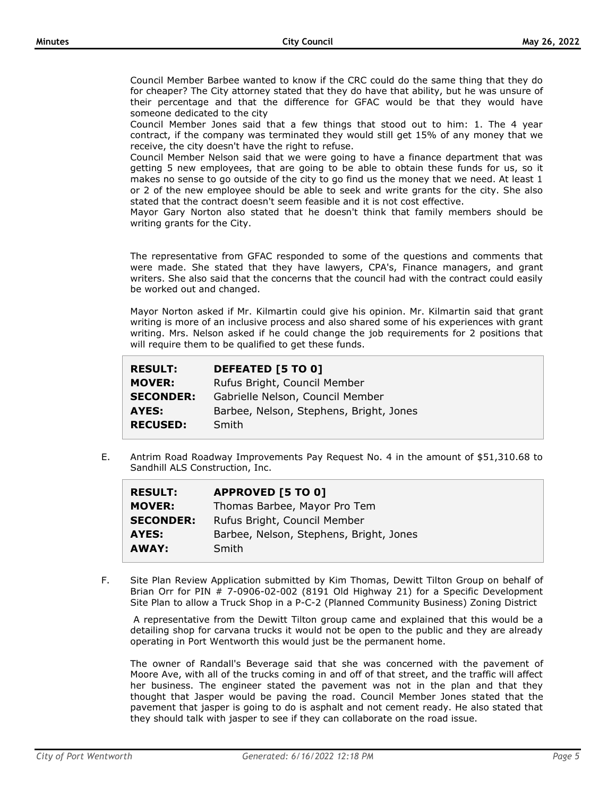Council Member Barbee wanted to know if the CRC could do the same thing that they do for cheaper? The City attorney stated that they do have that ability, but he was unsure of their percentage and that the difference for GFAC would be that they would have someone dedicated to the city

Council Member Jones said that a few things that stood out to him: 1. The 4 year contract, if the company was terminated they would still get 15% of any money that we receive, the city doesn't have the right to refuse.

Council Member Nelson said that we were going to have a finance department that was getting 5 new employees, that are going to be able to obtain these funds for us, so it makes no sense to go outside of the city to go find us the money that we need. At least 1 or 2 of the new employee should be able to seek and write grants for the city. She also stated that the contract doesn't seem feasible and it is not cost effective.

Mayor Gary Norton also stated that he doesn't think that family members should be writing grants for the City.

The representative from GFAC responded to some of the questions and comments that were made. She stated that they have lawyers, CPA's, Finance managers, and grant writers. She also said that the concerns that the council had with the contract could easily be worked out and changed.

Mayor Norton asked if Mr. Kilmartin could give his opinion. Mr. Kilmartin said that grant writing is more of an inclusive process and also shared some of his experiences with grant writing. Mrs. Nelson asked if he could change the job requirements for 2 positions that will require them to be qualified to get these funds.

| <b>DEFEATED [5 TO 0]</b>                |
|-----------------------------------------|
| Rufus Bright, Council Member            |
| Gabrielle Nelson, Council Member        |
| Barbee, Nelson, Stephens, Bright, Jones |
| Smith                                   |
|                                         |

E. Antrim Road Roadway Improvements Pay Request No. 4 in the amount of \$51,310.68 to Sandhill ALS Construction, Inc.

| <b>RESULT:</b>   | <b>APPROVED [5 TO 0]</b>                |
|------------------|-----------------------------------------|
| <b>MOVER:</b>    | Thomas Barbee, Mayor Pro Tem            |
| <b>SECONDER:</b> | Rufus Bright, Council Member            |
| AYES:            | Barbee, Nelson, Stephens, Bright, Jones |
| AWAY:            | Smith                                   |

F. Site Plan Review Application submitted by Kim Thomas, Dewitt Tilton Group on behalf of Brian Orr for PIN # 7-0906-02-002 (8191 Old Highway 21) for a Specific Development Site Plan to allow a Truck Shop in a P-C-2 (Planned Community Business) Zoning District

A representative from the Dewitt Tilton group came and explained that this would be a detailing shop for carvana trucks it would not be open to the public and they are already operating in Port Wentworth this would just be the permanent home.

The owner of Randall's Beverage said that she was concerned with the pavement of Moore Ave, with all of the trucks coming in and off of that street, and the traffic will affect her business. The engineer stated the pavement was not in the plan and that they thought that Jasper would be paving the road. Council Member Jones stated that the pavement that jasper is going to do is asphalt and not cement ready. He also stated that they should talk with jasper to see if they can collaborate on the road issue.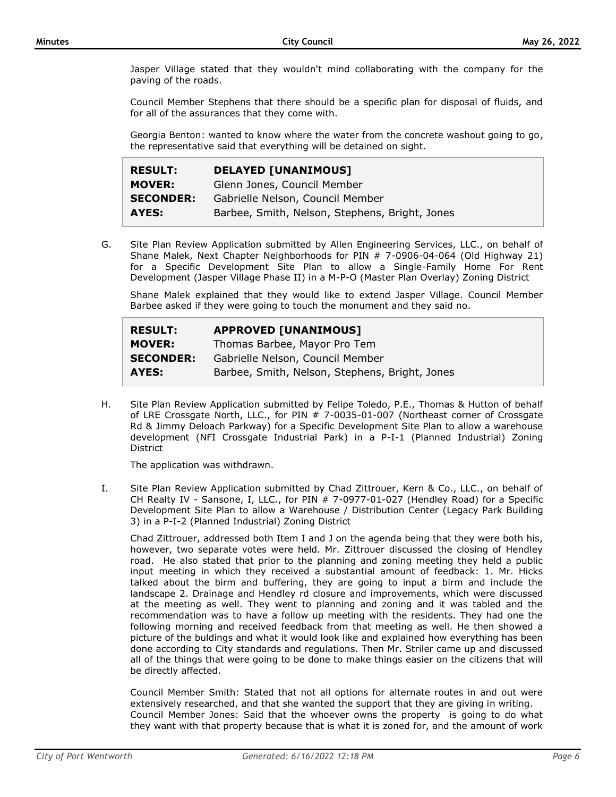Jasper Village stated that they wouldn't mind collaborating with the company for the paving of the roads.

Council Member Stephens that there should be a specific plan for disposal of fluids, and for all of the assurances that they come with.

Georgia Benton: wanted to know where the water from the concrete washout going to go, the representative said that everything will be detained on sight.

| <b>RESULT:</b>   | <b>DELAYED [UNANIMOUS]</b>                     |
|------------------|------------------------------------------------|
| <b>MOVER:</b>    | Glenn Jones, Council Member                    |
| <b>SECONDER:</b> | Gabrielle Nelson, Council Member               |
| AYES:            | Barbee, Smith, Nelson, Stephens, Bright, Jones |

G. Site Plan Review Application submitted by Allen Engineering Services, LLC., on behalf of Shane Malek, Next Chapter Neighborhoods for PIN # 7-0906-04-064 (Old Highway 21) for a Specific Development Site Plan to allow a Single-Family Home For Rent Development (Jasper Village Phase II) in a M-P-O (Master Plan Overlay) Zoning District

Shane Malek explained that they would like to extend Jasper Village. Council Member Barbee asked if they were going to touch the monument and they said no.

| <b>RESULT:</b>   | <b>APPROVED [UNANIMOUS]</b>                    |
|------------------|------------------------------------------------|
| <b>MOVER:</b>    | Thomas Barbee, Mayor Pro Tem                   |
| <b>SECONDER:</b> | Gabrielle Nelson, Council Member               |
| AYES:            | Barbee, Smith, Nelson, Stephens, Bright, Jones |

H. Site Plan Review Application submitted by Felipe Toledo, P.E., Thomas & Hutton of behalf of LRE Crossgate North, LLC., for PIN # 7-0035-01-007 (Northeast corner of Crossgate Rd & Jimmy Deloach Parkway) for a Specific Development Site Plan to allow a warehouse development (NFI Crossgate Industrial Park) in a P-I-1 (Planned Industrial) Zoning **District** 

The application was withdrawn.

I. Site Plan Review Application submitted by Chad Zittrouer, Kern & Co., LLC., on behalf of CH Realty IV - Sansone, I, LLC., for PIN # 7-0977-01-027 (Hendley Road) for a Specific Development Site Plan to allow a Warehouse / Distribution Center (Legacy Park Building 3) in a P-I-2 (Planned Industrial) Zoning District

Chad Zittrouer, addressed both Item I and J on the agenda being that they were both his, however, two separate votes were held. Mr. Zittrouer discussed the closing of Hendley road. He also stated that prior to the planning and zoning meeting they held a public input meeting in which they received a substantial amount of feedback: 1. Mr. Hicks talked about the birm and buffering, they are going to input a birm and include the landscape 2. Drainage and Hendley rd closure and improvements, which were discussed at the meeting as well. They went to planning and zoning and it was tabled and the recommendation was to have a follow up meeting with the residents. They had one the following morning and received feedback from that meeting as well. He then showed a picture of the buldings and what it would look like and explained how everything has been done according to City standards and regulations. Then Mr. Striler came up and discussed all of the things that were going to be done to make things easier on the citizens that will be directly affected.

Council Member Smith: Stated that not all options for alternate routes in and out were extensively researched, and that she wanted the support that they are giving in writing. Council Member Jones: Said that the whoever owns the property is going to do what they want with that property because that is what it is zoned for, and the amount of work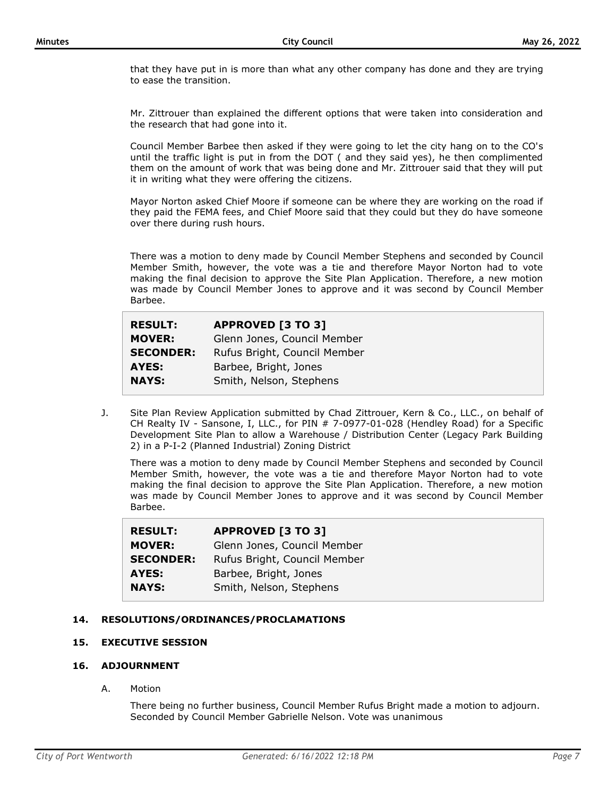that they have put in is more than what any other company has done and they are trying to ease the transition.

Mr. Zittrouer than explained the different options that were taken into consideration and the research that had gone into it.

Council Member Barbee then asked if they were going to let the city hang on to the CO's until the traffic light is put in from the DOT ( and they said yes), he then complimented them on the amount of work that was being done and Mr. Zittrouer said that they will put it in writing what they were offering the citizens.

Mayor Norton asked Chief Moore if someone can be where they are working on the road if they paid the FEMA fees, and Chief Moore said that they could but they do have someone over there during rush hours.

There was a motion to deny made by Council Member Stephens and seconded by Council Member Smith, however, the vote was a tie and therefore Mayor Norton had to vote making the final decision to approve the Site Plan Application. Therefore, a new motion was made by Council Member Jones to approve and it was second by Council Member Barbee.

| <b>RESULT:</b>   | <b>APPROVED [3 TO 3]</b>     |
|------------------|------------------------------|
| <b>MOVER:</b>    | Glenn Jones, Council Member  |
| <b>SECONDER:</b> | Rufus Bright, Council Member |
| AYES:            | Barbee, Bright, Jones        |
| <b>NAYS:</b>     | Smith, Nelson, Stephens      |
|                  |                              |

J. Site Plan Review Application submitted by Chad Zittrouer, Kern & Co., LLC., on behalf of CH Realty IV - Sansone, I, LLC., for PIN # 7-0977-01-028 (Hendley Road) for a Specific Development Site Plan to allow a Warehouse / Distribution Center (Legacy Park Building 2) in a P-I-2 (Planned Industrial) Zoning District

There was a motion to deny made by Council Member Stephens and seconded by Council Member Smith, however, the vote was a tie and therefore Mayor Norton had to vote making the final decision to approve the Site Plan Application. Therefore, a new motion was made by Council Member Jones to approve and it was second by Council Member Barbee.

| <b>RESULT:</b>   | <b>APPROVED [3 TO 3]</b>     |
|------------------|------------------------------|
| <b>MOVER:</b>    | Glenn Jones, Council Member  |
| <b>SECONDER:</b> | Rufus Bright, Council Member |
| <b>AYES:</b>     | Barbee, Bright, Jones        |
| <b>NAYS:</b>     | Smith, Nelson, Stephens      |

# **14. RESOLUTIONS/ORDINANCES/PROCLAMATIONS**

# **15. EXECUTIVE SESSION**

# **16. ADJOURNMENT**

A. Motion

There being no further business, Council Member Rufus Bright made a motion to adjourn. Seconded by Council Member Gabrielle Nelson. Vote was unanimous